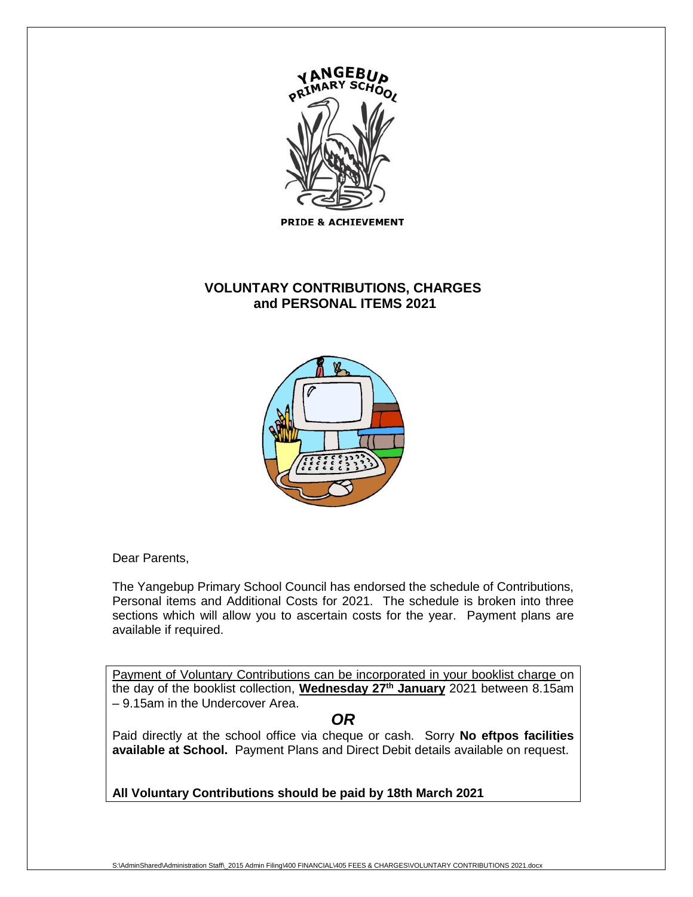

**PRIDE & ACHIEVEMENT** 

# **VOLUNTARY CONTRIBUTIONS, CHARGES and PERSONAL ITEMS 2021**



Dear Parents,

The Yangebup Primary School Council has endorsed the schedule of Contributions, Personal items and Additional Costs for 2021. The schedule is broken into three sections which will allow you to ascertain costs for the year. Payment plans are available if required.

Payment of Voluntary Contributions can be incorporated in your booklist charge on the day of the booklist collection, **Wednesday 27 th January** 2021 between 8.15am – 9.15am in the Undercover Area.

*OR*

Paid directly at the school office via cheque or cash. Sorry **No eftpos facilities available at School.** Payment Plans and Direct Debit details available on request.

**All Voluntary Contributions should be paid by 18th March 2021**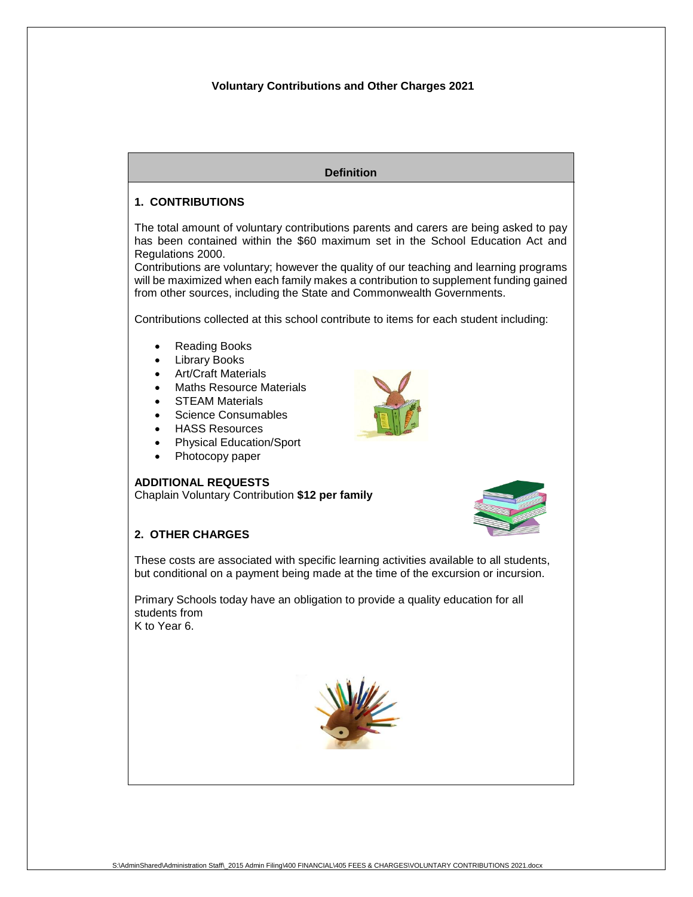#### **Voluntary Contributions and Other Charges 2021**

**Definition**



These costs are associated with specific learning activities available to all students, but conditional on a payment being made at the time of the excursion or incursion.

Primary Schools today have an obligation to provide a quality education for all students from K to Year 6.



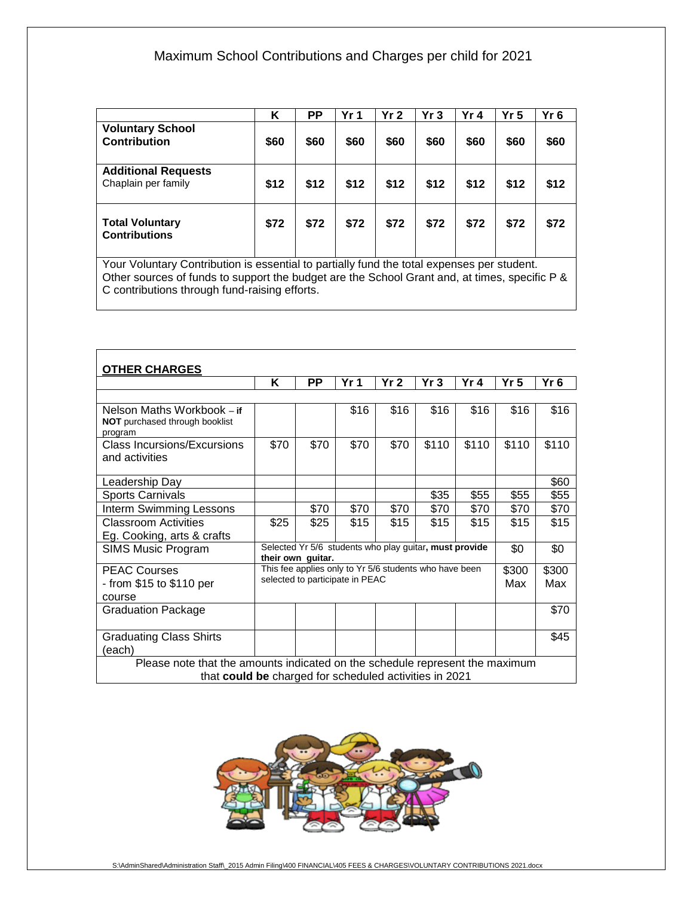# Maximum School Contributions and Charges per child for 2021

|                                                                                                                                                                                           | Κ    | <b>PP</b> | Yr <sub>1</sub> | Yr <sub>2</sub> | Yr3  | Yr 4 | Yr <sub>5</sub> | Yr <sub>6</sub> |
|-------------------------------------------------------------------------------------------------------------------------------------------------------------------------------------------|------|-----------|-----------------|-----------------|------|------|-----------------|-----------------|
| <b>Voluntary School</b><br><b>Contribution</b>                                                                                                                                            | \$60 | \$60      | \$60            | \$60            | \$60 | \$60 | \$60            | \$60            |
| <b>Additional Requests</b><br>Chaplain per family                                                                                                                                         | \$12 | \$12      | \$12            | \$12            | \$12 | \$12 | \$12            | \$12            |
| <b>Total Voluntary</b><br><b>Contributions</b>                                                                                                                                            | \$72 | \$72      | \$72            | \$72            | \$72 | \$72 | \$72            | \$72            |
| Your Voluntary Contribution is essential to partially fund the total expenses per student.<br>Other sources of funds to support the budget are the School Grant and at times specific P & |      |           |                 |                 |      |      |                 |                 |

Other sources of funds to support the budget are the School Grant and, at times, specific P & C contributions through fund-raising efforts.

| <b>OTHER CHARGES</b>                                                                                                                   |                                                                                           |      |                 |                 |       |       |                 |              |  |  |
|----------------------------------------------------------------------------------------------------------------------------------------|-------------------------------------------------------------------------------------------|------|-----------------|-----------------|-------|-------|-----------------|--------------|--|--|
|                                                                                                                                        | Κ                                                                                         | PP   | Yr <sub>1</sub> | Yr <sub>2</sub> | Yr3   | Yr 4  | Yr <sub>5</sub> | $Yr$ 6       |  |  |
|                                                                                                                                        |                                                                                           |      |                 |                 |       |       |                 |              |  |  |
| Nelson Maths Workbook – if<br><b>NOT</b> purchased through booklist<br>program                                                         |                                                                                           |      | \$16            | \$16            | \$16  | \$16  | \$16            | \$16         |  |  |
| <b>Class Incursions/Excursions</b><br>and activities                                                                                   | \$70                                                                                      | \$70 | \$70            | \$70            | \$110 | \$110 | \$110           | \$110        |  |  |
| Leadership Day                                                                                                                         |                                                                                           |      |                 |                 |       |       |                 | \$60         |  |  |
| <b>Sports Carnivals</b>                                                                                                                |                                                                                           |      |                 |                 | \$35  | \$55  | \$55            | \$55         |  |  |
| Interm Swimming Lessons                                                                                                                |                                                                                           | \$70 | \$70            | \$70            | \$70  | \$70  | \$70            | \$70         |  |  |
| <b>Classroom Activities</b><br>Eg. Cooking, arts & crafts                                                                              | \$25                                                                                      | \$25 | \$15            | \$15            | \$15  | \$15  | \$15            | \$15         |  |  |
| <b>SIMS Music Program</b>                                                                                                              | Selected Yr 5/6 students who play guitar, must provide<br>their own guitar.               |      |                 |                 |       |       |                 | \$0          |  |  |
| <b>PEAC Courses</b><br>- from \$15 to \$110 per<br>course                                                                              | This fee applies only to Yr 5/6 students who have been<br>selected to participate in PEAC |      |                 |                 |       |       |                 | \$300<br>Max |  |  |
| Graduation Package                                                                                                                     |                                                                                           |      |                 |                 |       |       |                 | \$70         |  |  |
| <b>Graduating Class Shirts</b><br>(each)                                                                                               |                                                                                           |      |                 |                 |       |       |                 | \$45         |  |  |
| Please note that the amounts indicated on the schedule represent the maximum<br>that could be charged for scheduled activities in 2021 |                                                                                           |      |                 |                 |       |       |                 |              |  |  |